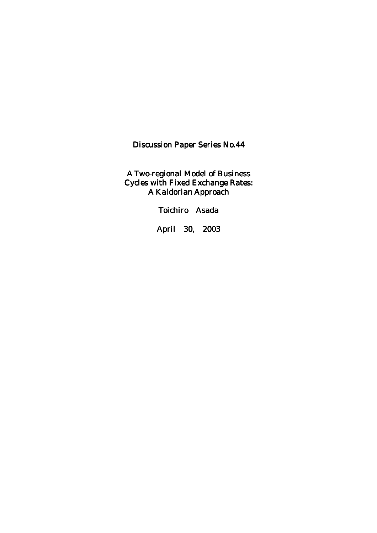Discussion Paper Series No.44

A Two-regional Model of Business Cycles with Fixed Exchange Rates: A Kaldorian Approach

Toichiro Asada

April 30, 2003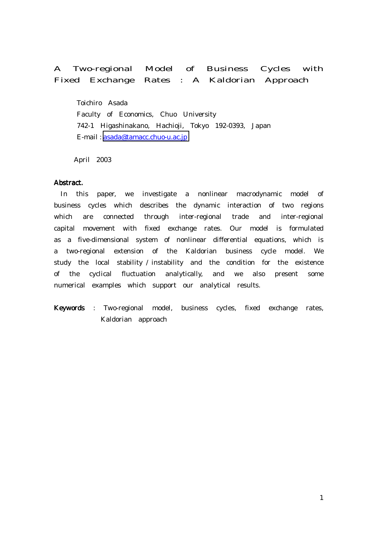# A Two-regional Model of Business Cycles with Fixed Exchange Rates : A Kaldorian Approach

 Toichiro Asada Faculty of Economics, Chuo University 742-1 Higashinakano, Hachioji, Tokyo 192-0393, Japan E-mail : [asada@tamacc.chuo-u.ac.jp](mailto:asada@tamacc.chuo-u.ac.jp)

April 2003

#### Abstract. Abstract.

 In this paper, we investigate a nonlinear macrodynamic model of business cycles which describes the dynamic interaction of two regions which are connected through inter-regional trade and inter-regional capital movement with fixed exchange rates. Our model is formulated as a five-dimensional system of nonlinear differential equations, which is a two-regional extension of the Kaldorian business cycle model. We study the local stability / instability and the condition for the existence of the cyclical fluctuation analytically, and we also present some numerical examples which support our analytical results.

Keywords : Two-regional model, business cycles, fixed exchange rates, Kaldorian approach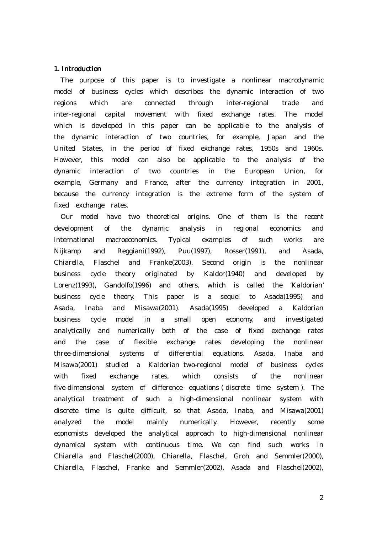#### 1. Introduction

 The purpose of this paper is to investigate a nonlinear macrodynamic model of business cycles which describes the dynamic interaction of two regions which are connected through inter-regional trade and inter-regional capital movement with fixed exchange rates. The model which is developed in this paper can be applicable to the analysis of the dynamic interaction of two countries, for example, Japan and the United States, in the period of fixed exchange rates, 1950s and 1960s. However, this model can also be applicable to the analysis of the dynamic interaction of two countries in the European Union, for example, Germany and France, after the currency integration in 2001, because the currency integration is the extreme form of the system of fixed exchange rates.

Our model have two theoretical origins. One of them is the recent development of the dynamic analysis in regional economics and international macroeconomics. Typical examples of such works are Nijkamp and Reggiani(1992), Puu(1997), Rosser(1991), and Asada, Chiarella, Flaschel and Franke(2003). Second origin is the nonlinear business cycle theory originated by Kaldor(1940) and developed by Lorenz(1993), Gandolfo(1996) and others, which is called the 'Kaldorian' business cycle theory. This paper is a sequel to Asada(1995) and Asada, Inaba and Misawa(2001). Asada(1995) developed a Kaldorian business cycle model in a small open economy, and investigated analytically and numerically both of the case of fixed exchange rates and the case of flexible exchange rates developing the nonlinear three-dimensional systems of differential equations. Asada, Inaba and Misawa(2001) studied a Kaldorian two-regional model of business cycles with fixed exchange rates, which consists of the nonlinear five-dimensional system of difference equations ( discrete time system ). The analytical treatment of such a high-dimensional nonlinear system with discrete time is quite difficult, so that Asada, Inaba, and Misawa(2001) analyzed the model mainly numerically. However, recently some economists developed the analytical approach to high-dimensional nonlinear dynamical system with continuous time. We can find such works in Chiarella and Flaschel(2000), Chiarella, Flaschel, Groh and Semmler(2000), Chiarella, Flaschel, Franke and Semmler(2002), Asada and Flaschel(2002),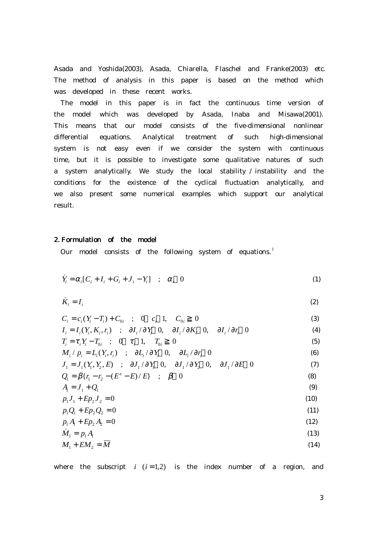Asada and Yoshida(2003), Asada, Chiarella, Flaschel and Franke(2003) etc. The method of analysis in this paper is based on the method which was developed in these recent works.

 The model in this paper is in fact the continuous time version of the model which was developed by Asada, Inaba and Misawa(2001). This means that our model consists of the five-dimensional nonlinear differential equations. Analytical treatment of such high-dimensional system is not easy even if we consider the system with continuous time, but it is possible to investigate some qualitative natures of such a system analytically. We study the local stability / instability and the conditions for the existence of the cyclical fluctuation analytically, and we also present some numerical examples which support our analytical result.

# 2. Formulation of the model

Our model consists of the following system of equations.<sup>1</sup>

$$
\dot{Y}_i = \alpha_i [C_i + I_i + G_i + J_i - Y_i] \quad ; \quad \alpha_i \quad 0 \tag{1}
$$

$$
\dot{K}_i = I_i \tag{2}
$$

$$
C_{i} = c_{i}(Y_{i} - T_{i}) + C_{0i} \t; 0 \t c_{i} 1, C_{0i} 0 \t(3)
$$
\n
$$
I_{i} = I_{i}(Y_{i}, K_{i}, r_{i}) \t; \partial I_{i}/\partial Y_{i} 0, \partial I_{i}/\partial K_{i} 0, \partial I_{i}/\partial r_{i} 0 \t(4)
$$
\n
$$
T_{i} = \tau_{i}Y_{i} - T_{0i} \t; 0 \tau_{i} 1, T_{0i} 0 \t(5)
$$
\n
$$
M_{i}/p_{i} = L_{i}(Y_{i}, r_{i}) \t; \partial L_{i}/\partial Y_{i} 0, \partial L_{i}/\partial r_{i} 0 \t(5)
$$
\n
$$
J_{1} = J_{1}(Y_{1}, Y_{2}, E) \t; \partial J_{1}/\partial Y_{1} 0, \partial J_{1}/\partial Y_{2} 0, \partial J_{1}/\partial E 0 \t(7)
$$
\n
$$
Q_{1} = \beta\{r_{1} - r_{2} - (E^{e} - E)/E\} \t; \beta \t 0 \t(8)
$$
\n
$$
A = J_{1} + Q_{1} \t(9)
$$
\n
$$
p_{1}J_{1} + Ep_{2}J_{2} = 0 \t(10)
$$
\n
$$
p_{1}Q_{1} + Ep_{2}Q_{2} = 0 \t(11)
$$
\n
$$
p_{1}A + Ep_{2}A_{2} = 0 \t(12)
$$
\n
$$
\dot{M}_{1} = p_{1}A \t(13)
$$
\n
$$
M_{1} + EM_{2} = \overline{M} \t(14)
$$

where the subscript  $i$   $(i=1,2)$  is the index number of a region, and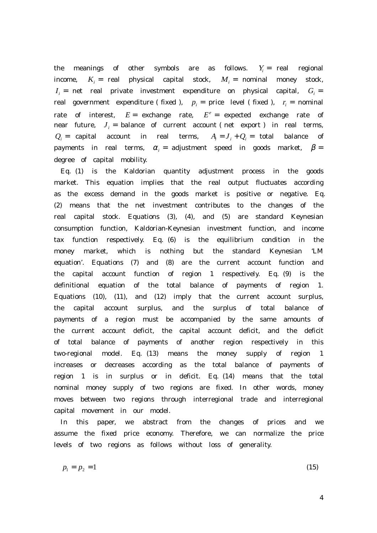the meanings of other symbols are as follows.  $Y_i =$  real regional income,  $K_i$  = real physical capital stock,  $M_i$  = nominal money stock,  $I_i$  = net real private investment expenditure on physical capital,  $G_i$  = real government expenditure (fixed ),  $p_i =$  price level (fixed ),  $r_i =$  nominal rate of interest,  $E =$  exchange rate,  $E^e =$  expected exchange rate of near future,  $J_i$  = balance of current account (net export) in real terms,  $Q_i$  = capital account in real terms,  $A_i = J_i + Q_i$  = total balance of payments in real terms,  $\alpha_i =$  adjustment speed in goods market,  $\beta =$ degree of capital mobility.

 Eq. (1) is the Kaldorian quantity adjustment process in the goods market. This equation implies that the real output fluctuates according as the excess demand in the goods market is positive or negative. Eq. (2) means that the net investment contributes to the changes of the real capital stock. Equations (3), (4), and (5) are standard Keynesian consumption function, Kaldorian-Keynesian investment function, and income tax function respectively. Eq. (6) is the equilibrium condition in the money market, which is nothing but the standard Keynesian 'LM equation'. Equations (7) and (8) are the current account function and the capital account function of region 1 respectively. Eq. (9) is the definitional equation of the total balance of payments of region 1. Equations (10), (11), and (12) imply that the current account surplus, the capital account surplus, and the surplus of total balance of payments of a region must be accompanied by the same amounts of the current account deficit, the capital account deficit, and the deficit of total balance of payments of another region respectively in this two-regional model. Eq. (13) means the money supply of region 1 increases or decreases according as the total balance of payments of region 1 is in surplus or in deficit. Eq. (14) means that the total nominal money supply of two regions are fixed. In other words, money moves between two regions through interregional trade and interregional capital movement in our model.

 In this paper, we abstract from the changes of prices and we assume the fixed price economy. Therefore, we can normalize the price levels of two regions as follows without loss of generality.

$$
p_1 = p_2 = 1 \tag{15}
$$

4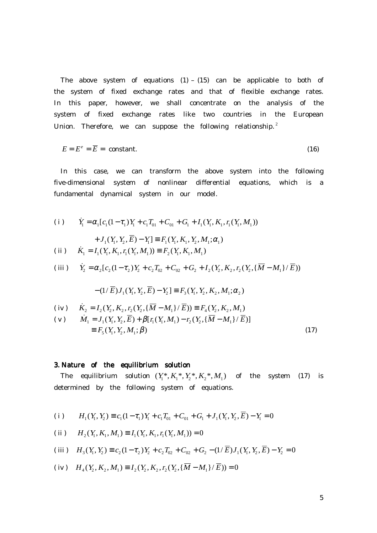The above system of equations  $(1) - (15)$  can be applicable to both of the system of fixed exchange rates and that of flexible exchange rates. In this paper, however, we shall concentrate on the analysis of the system of fixed exchange rates like two countries in the European Union. Therefore, we can suppose the following relationship.<sup>2</sup>

$$
E = Ec = \overline{E} = \text{ constant.}
$$
 (16)

 In this case, we can transform the above system into the following five-dimensional system of nonlinear differential equations, which is a fundamental dynamical system in our model.

(i) 
$$
\dot{Y}_1 = \alpha_1 [c_1 (1 - \tau_1) Y_1 + c_1 T_{01} + C_{01} + G_1 + I_1 (Y_1, K_1, r_1 (Y_1, M_1))
$$
  
+  $J_1 (Y_1, Y_2, \overline{E}) - Y_1] \equiv F_1 (Y_1, K_1, Y_2, M_1; \alpha_1)$   
(ii)  $\dot{K}_1 = I_1 (Y_1, K_1, r_1 (Y_1, M_1)) \equiv F_2 (Y_1, K_1, M_1)$ 

(iii) 
$$
\dot{Y}_2 = \alpha_2 [c_2 (1 - \tau_2) Y_2 + c_2 T_{02} + C_{02} + G_2 + I_2 (Y_2, K_2, r_2 (Y_2, {\overline{M}} - M_1) / {\overline{E}}))
$$

$$
-(1/\overline{E})J_1(Y_1, Y_2, \overline{E}) - Y_2 \equiv F_3(Y_1, Y_2, K_2, M_1; \alpha_2)
$$

(iv) 
$$
\dot{K}_2 = I_2(Y_2, K_2, r_2(Y_2, {\overline{M}} - M_1)/{\overline{E}})) \equiv F_4(Y_2, K_2, M_1)
$$

(v) 
$$
\dot{M}_1 = J_1(Y_1, Y_2, \overline{E}) + \beta[r_1(Y_1, M_1) - r_2(Y_2, {\overline{M} - M_1} / \overline{E})]
$$
  
\n
$$
\equiv F_5(Y_1, Y_2, M_1; \beta)
$$
\n(17)

# 3. Nature of the equilibrium solution

The equilibrium solution  $(Y_1^*, K_1^*, Y_2^*, K_2^*, M_1)$  of the system (17) is determined by the following system of equations.

(i) 
$$
H_1(Y_1, Y_2) \equiv c_1(1 - \tau_1)Y_1 + c_1T_{01} + C_{01} + G_1 + J_1(Y_1, Y_2, \overline{E}) - Y_1 = 0
$$

(ii) 
$$
H_2(Y_1, K_1, M_1) \equiv I_1(Y_1, K_1, r_1(Y_1, M_1)) = 0
$$

(iii) 
$$
H_3(Y_1, Y_2) \equiv c_2(1 - \tau_2)Y_2 + c_2T_{02} + C_{02} + G_2 - (1/\overline{E})J_1(Y_1, Y_2, \overline{E}) - Y_2 = 0
$$

(iv) 
$$
H_4(Y_2, K_2, M_1) \equiv I_2(Y_2, K_2, r_2(Y_2, {\overline{M}} - M_1)/{\overline{E}})) = 0
$$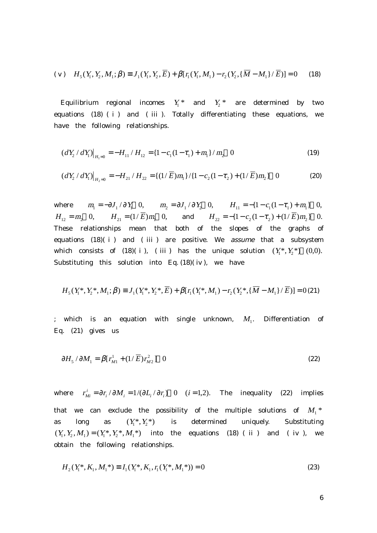(v) 
$$
H_5(Y_1, Y_2, M_1; \beta) \equiv J_1(Y_1, Y_2, \overline{E}) + \beta[r_1(Y_1, M_1) - r_2(Y_2, {\overline{M} - M_1})/\overline{E})] = 0
$$
 (18)

Equilibrium regional incomes  $Y_1^*$  and  $Y_2^*$  are determined by two equations (18) ( i ) and ( iii ). Totally differentiating these equations, we have the following relationships.

$$
(dY_2/dY_1)|_{H_1=0} = -H_{11}/H_{12} = \{1 - c_1(1 - \tau_1) + m_1\}/m_2 \quad 0
$$
\n(19)

$$
(dY_2/dY_1)|_{H_2=0} = -H_{21}/H_{22} = \{(1/\overline{E})m_1\}/\{1-c_2(1-\tau_2)+(1/\overline{E})m_2\} \quad 0
$$
 (20)

where  $m_1 = -\partial J_1 / \partial Y_1$  0,  $m_2 = \partial J_1 / \partial Y_2$  0,  $H_{11} = -\{1 - c_1(1 - \tau_1) + m_1\}$  0,  $H_{12} = m_2 \quad 0, \qquad H_{21} = (1/\overline{E})m_1 \quad 0, \qquad \text{and} \qquad H_{22} = -\{1 - c_2 (1 - \tau_2) + (1/\overline{E})m_2\} \quad 0.$ These relationships mean that both of the slopes of the graphs of equations  $(18)(i)$  and  $(iii)$  are positive. We assume that a subsystem which consists of (18)( i ), ( iii ) has the unique solution  $(Y_1^*, Y_2^*)$  (0,0). Substituting this solution into Eq.  $(18)(iv)$ , we have

$$
H_5(Y_1^*, Y_2^*, M_1; \beta) \equiv J_1(Y_1^*, Y_2^*, \overline{E}) + \beta[r_1(Y_1^*, M_1) - r_2(Y_2^*, {\overline{M}} - M_1)/\overline{E})] = 0.21)
$$

; which is an equation with single unknown,  $M_1$ . Differentiation of Eq. (21) gives us

$$
\partial H_5 / \partial M_1 = \beta [r_{M1}^1 + (1/\overline{E})r_{M2}^2] \quad 0 \tag{22}
$$

where  $r_{Mi}^i = \frac{\partial r_i}{\partial M_i} = \frac{1}{(\partial L_i / \partial r_i)}$  0 (*i* = 1,2). The inequality (22) implies that we can exclude the possibility of the multiple solutions of  $M_1$ <sup>\*</sup> as long as  $(Y_1^*, Y_2^*)$  is determined uniquely. Substituting  $(Y_1, Y_2, M_1) = (Y_1^*, Y_2^*, M_1^*)$  into the equations (18) (ii) and (iv), we obtain the following relationships.

$$
H_2(Y_1^*, K_1, M_1^*) \equiv I_1(Y_1^*, K_1, r_1(Y_1^*, M_1^*)) = 0
$$
\n(23)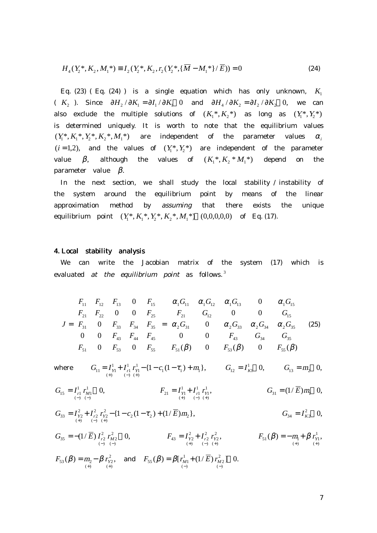$$
H_4(Y_2^*, K_2, M_1^*) \equiv I_2(Y_2^*, K_2, r_2(Y_2^*, \{\overline{M} - M_1^*\} / \overline{E})) = 0 \tag{24}
$$

Eq. (23) ( Eq. (24) ) is a single equation which has only unknown,  $K_1$ (  $K_2$  ). Since  $\partial H_2 / \partial K_1 = \partial I_1 / \partial K_1$  0 and  $\partial H_4 / \partial K_2 = \partial I_2 / \partial K_2$  0, we can also exclude the multiple solutions of  $(K_1^*, K_2^*)$  as long as  $(Y_1^*, Y_2^*)$ is determined uniquely. It is worth to note that the equilibrium values  $(Y^*, K^*, Y^*, K^*, M^*)$  are independent of the parameter values  $\alpha_i$  $(i = 1,2)$ , and the values of  $(Y_1^*, Y_2^*)$  are independent of the parameter value  $\beta$ , although the values of  $(K_1^*, K_2^* M_1^*)$  depend on the parameter value  $\beta$ .

 In the next section, we shall study the local stability / instability of the system around the equilibrium point by means of the linear approximation method by assuming that there exists the unique equilibrium point  $(Y_1^*, K_1^*, Y_2^*, K_2^*, M_1^*)$   $(0,0,0,0,0)$  of Eq. (17).

#### 4. Local stability analysis

 We can write the Jacobian matrix of the system (17) which is evaluated at the equilibrium point as follows.<sup>3</sup>

$$
J = \begin{bmatrix} F_{11} & F_{12} & F_{13} & 0 & F_{15} \\ F_{21} & F_{22} & 0 & 0 & F_{25} \\ F_{31} & 0 & F_{33} & F_{34} & F_{35} \\ 0 & 0 & F_{43} & F_{44} & F_{45} \\ F_{51} & 0 & F_{53} & 0 & F_{55} \end{bmatrix} = \begin{bmatrix} \alpha_1 G_{11} & \alpha_1 G_{12} & \alpha_1 G_{13} & 0 & \alpha_1 G_{15} \\ F_{21} & G_{12} & 0 & 0 & G_{15} \\ \alpha_2 G_{31} & 0 & \alpha_2 G_{33} & \alpha_2 G_{34} & \alpha_2 G_{35} \\ \alpha_3 G_{34} & G_{35} & G_{36} & G_{35} \\ 0 & 0 & F_{43} & G_{34} & G_{35} \\ F_{51}(\beta) & 0 & F_{53}(\beta) & 0 & F_{55}(\beta) \end{bmatrix}
$$
(25)

where  $G_{11} = I_{Y1}^1 + I_{r1}^1 I_{Y1}^1 - \{1 - c_1(1 - \tau_1) + m_1\},$ 1  $I_{r1} I_{Y1}$ <br>(-) (+) 1  $G_{11} = I_{Y1}^1 + I_{r1}^1 r_{Y1}^1 - \{1 - c_1 (1 - \tau_1) + m_1 \}$  $\tau_1$ ) +  $m_1$ ,  $G_{12} = I_{K1}^1$  0,  $G_{13} = m_2$  0,

$$
G_{15} = I_{r1}^1 r_{M1}^1 \t 0, \t F_{21} = I_{r1}^1 + I_{r1}^1 r_{N1}^1, \t G_{31} = (1/\overline{E})m_1 \t 0,
$$

$$
G_{33} = I_{Y2}^2 + I_{r2}^2 + I_{Y2}^2 - \{1 - c_2(1 - \tau_2) + (1/\overline{E})m_2\},
$$
  
\n
$$
G_{34} = I_{K2}^2 \quad 0,
$$

 $(1/E) I_{r2}^2 r_{M2}^2 = 0$ ,  $(-)$ 2  $r_2 M_2$ <br>(-) (-) 2  $\frac{35}{35}$  -  $\frac{-(1/L)I_{r2}I_M}{(-)}$  $G_{35} = -(1/E) I_{r2}^2 r_{M2}^2$  0,  $F_{43} = I_{Y2}^2 + I_{r2}^2 r_{Y2}^2$ ,  $(+)$ 2  $r_1 r_2 Y_2$ <br>(-) (+) 2  $\begin{array}{c} \n\mu_{Y2} + \mu_{r2} \\
\mu_{r2} \\
(-) \n\end{array}$ 2  $43 - I_{Y2} - I_{r2} I_{Y}$ <br>  $(+)$   $(-)$   $(+)$  $F_{43} = I_{\gamma_2}^2 + I_{r_2}^2 r_{\gamma_2}^2$ ,  $F_{51}(\beta) = -m_1 + \beta r_{\gamma_1}^1$ ,  $(+)$ 1  $\mu_{1}(\mu) = -\mu_{1} + \mu_{1} + \mu_{1}$ <br>(+)  $F_{51}(\beta) = -m_1 + \beta r_{Y_1}^1$ ,

 $(\beta) = m_{2} - \beta r_{Y2}^{2},$  $(+)$ 2  $\mu_{1} = \mu_{2} - \mu_{1} \mu_{1}$ <br>(+)  $\mu_{1}$ <br>(+)  $F_{53}(\beta) = m_2 - \beta r_{Y2}^2$ , and  $F_{55}(\beta) = \beta [ r_{M1}^1 + (1/E) r_{M2}^2 ]$  0.  $(-)$ 2  $M1$ <sup>T</sup> (1/ L)  $M_{M2}$ <br>(-) (-) 1  $\epsilon_{55}(p) - p_1 \iota_{M1} + (1/L) \iota_M$ <br>(-)  $F_{55}(\beta) = \beta [r_{M1}^1 + (1/E) r_M^2]$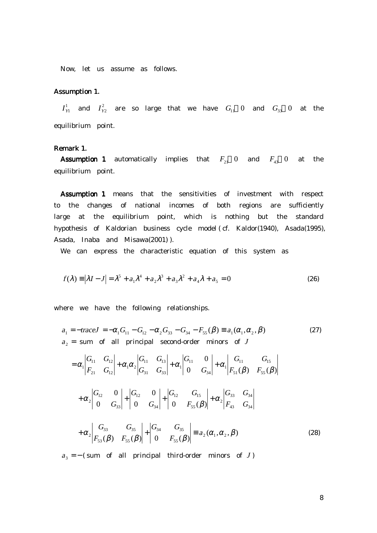Now, let us assume as follows.

## Assumption 1.

 $I_{Y1}^1$  and  $I_{Y2}^2$  are so large that we have  $G_{11}$  0 and  $G_{33}$  0 at the equilibrium point.

## Remark 1.

**Assumption 1** automatically implies that  $F_{21}$  0 and  $F_{43}$  0 at the equilibrium point.

Assumption 1 means that the sensitivities of investment with respect to the changes of national incomes of both regions are sufficiently large at the equilibrium point, which is nothing but the standard hypothesis of Kaldorian business cycle model ( cf. Kaldor(1940), Asada(1995), Asada, Inaba and Misawa(2001) ).

We can express the characteristic equation of this system as

$$
f(\lambda) = |\lambda I - J| = \lambda^5 + a_1 \lambda^4 + a_2 \lambda^3 + a_3 \lambda^2 + a_4 \lambda + a_5 = 0
$$
 (26)

where we have the following relationships.

$$
a_1 = -\text{trace}J = -\alpha_1 G_{11} - G_{12} - \alpha_2 G_{33} - G_{34} - F_{55}(\beta) \equiv a_1(\alpha_1, \alpha_2, \beta) \tag{27}
$$
  
\n
$$
a_2 = \text{sum of all principal second-order minors of } J
$$

$$
= \alpha_{1} \begin{vmatrix} G_{11} & G_{12} \\ F_{21} & G_{12} \end{vmatrix} + \alpha_{1} \alpha_{2} \begin{vmatrix} G_{11} & G_{13} \\ G_{31} & G_{33} \end{vmatrix} + \alpha_{1} \begin{vmatrix} G_{11} & 0 \\ 0 & G_{34} \end{vmatrix} + \alpha_{1} \begin{vmatrix} G_{11} & G_{15} \\ F_{51}(\beta) & F_{55}(\beta) \end{vmatrix}
$$
  
+  $\alpha_{2} \begin{vmatrix} G_{12} & 0 \\ 0 & G_{33} \end{vmatrix} + \begin{vmatrix} G_{12} & 0 \\ 0 & G_{34} \end{vmatrix} + \begin{vmatrix} G_{12} & G_{15} \\ 0 & F_{55}(\beta) \end{vmatrix} + \alpha_{2} \begin{vmatrix} G_{33} & G_{34} \\ F_{43} & G_{34} \end{vmatrix}$   
+  $\alpha_{2} \begin{vmatrix} G_{33} & G_{35} \\ F_{53}(\beta) & F_{55}(\beta) \end{vmatrix} + \begin{vmatrix} G_{34} & G_{35} \\ 0 & F_{55}(\beta) \end{vmatrix} = a_{2}(\alpha_{1}, \alpha_{2}, \beta)$  (28)

 $a_3 = -$  (sum of all principal third-order minors of J)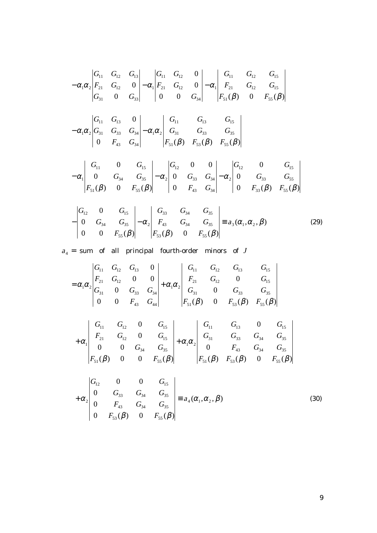$$
- \alpha_{1}\alpha_{2}\begin{vmatrix} G_{11} & G_{12} & G_{13} \\ F_{21} & G_{12} & 0 \\ G_{31} & 0 & G_{33} \end{vmatrix} - \alpha_{1}\begin{vmatrix} G_{11} & G_{12} & 0 \\ F_{21} & G_{12} & 0 \\ 0 & 0 & G_{34} \end{vmatrix} - \alpha_{1}\begin{vmatrix} G_{11} & G_{12} & G_{15} \\ F_{21} & G_{12} & G_{15} \\ F_{31}(\beta) & 0 & F_{35}(\beta) \end{vmatrix}
$$
  
\n
$$
- \alpha_{1}\alpha_{2}\begin{vmatrix} G_{11} & G_{13} & 0 \\ G_{31} & G_{33} & G_{34} \\ 0 & F_{43} & G_{34} \end{vmatrix} - \alpha_{1}\alpha_{2}\begin{vmatrix} G_{11} & G_{13} & G_{15} \\ G_{31} & G_{33} & G_{35} \\ F_{51}(\beta) & F_{53}(\beta) & F_{55}(\beta) \end{vmatrix}
$$
  
\n
$$
- \alpha_{1}\begin{vmatrix} G_{11} & 0 & G_{15} \\ 0 & G_{34} & G_{35} \\ F_{51}(\beta) & 0 & F_{55}(\beta) \end{vmatrix} - \alpha_{2}\begin{vmatrix} G_{12} & 0 & 0 \\ 0 & G_{33} & G_{34} \\ 0 & F_{43} & G_{34} \end{vmatrix} - \alpha_{2}\begin{vmatrix} G_{12} & 0 & G_{15} \\ 0 & G_{33} & G_{35} \\ 0 & F_{33}(\beta) & F_{55}(\beta) \end{vmatrix}
$$

$$
-\begin{vmatrix} G_{12} & 0 & G_{15} \\ 0 & G_{34} & G_{35} \\ 0 & 0 & F_{55}(\beta) \end{vmatrix} - \alpha_2 \begin{vmatrix} G_{33} & G_{34} & G_{35} \\ F_{43} & G_{34} & G_{35} \\ F_{53}(\beta) & 0 & F_{55}(\beta) \end{vmatrix} \equiv a_3(\alpha_1, \alpha_2, \beta) \tag{29}
$$

 $a_4$  = sum of all principal fourth-order minors of J

$$
= \alpha_{1}\alpha_{2} \begin{vmatrix} G_{11} & G_{12} & G_{13} & 0 \\ F_{21} & G_{12} & 0 & 0 \\ G_{31} & 0 & G_{33} & G_{34} \\ 0 & 0 & F_{43} & G_{44} \end{vmatrix} + \alpha_{1}\alpha_{2} \begin{vmatrix} G_{11} & G_{12} & G_{13} & G_{15} \\ F_{21} & G_{12} & 0 & G_{15} \\ G_{31} & 0 & G_{33} & G_{35} \\ F_{51}(\beta) & 0 & F_{53}(\beta) & F_{55}(\beta) \end{vmatrix}
$$
  
+ 
$$
\alpha_{1} \begin{vmatrix} G_{11} & G_{12} & 0 & G_{15} \\ F_{21} & G_{12} & 0 & G_{15} \\ 0 & 0 & G_{34} & G_{35} \\ F_{51}(\beta) & 0 & 0 & F_{55}(\beta) \end{vmatrix} + \alpha_{1}\alpha_{2} \begin{vmatrix} G_{11} & G_{13} & 0 & G_{15} \\ G_{31} & G_{33} & G_{34} & G_{35} \\ 0 & F_{43} & G_{34} & G_{35} \\ F_{51}(\beta) & 0 & 0 & F_{55}(\beta) \end{vmatrix}
$$

$$
+\alpha_2 \begin{vmatrix} G_{12} & 0 & 0 & G_{15} \\ 0 & G_{33} & G_{34} & G_{35} \\ 0 & F_{43} & G_{34} & G_{35} \\ 0 & F_{53}(\beta) & 0 & F_{55}(\beta) \end{vmatrix} \equiv a_4(\alpha_1, \alpha_2, \beta) \tag{30}
$$

9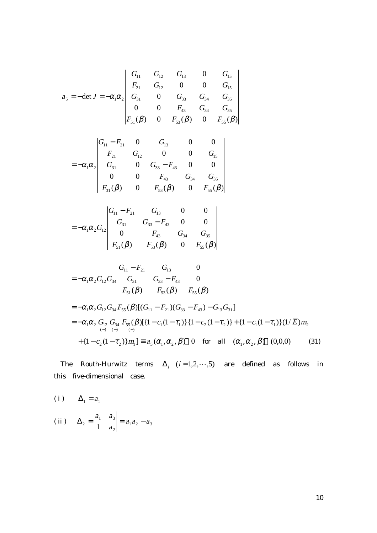$$
a_{5} = -\det J = -\alpha_{1}\alpha_{2} \begin{vmatrix} G_{11} & G_{12} & G_{13} & 0 & G_{15} \\ F_{21} & G_{12} & 0 & 0 & G_{15} \\ G_{31} & 0 & G_{33} & G_{34} & G_{35} \\ 0 & 0 & F_{43} & G_{34} & G_{35} \\ F_{51}(\beta) & 0 & F_{53}(\beta) & 0 & F_{55}(\beta) \end{vmatrix}
$$

$$
= -\alpha_1 \alpha_2 \begin{vmatrix} G_{11} - F_{21} & 0 & G_{13} & 0 & 0 \\ F_{21} & G_{12} & 0 & 0 & G_{15} \\ G_{31} & 0 & G_{33} - F_{43} & 0 & 0 \\ 0 & 0 & F_{43} & G_{34} & G_{35} \\ F_{31}(\beta) & 0 & F_{53}(\beta) & 0 & F_{55}(\beta) \end{vmatrix}
$$

$$
= -\alpha_1 \alpha_2 G_{12} \begin{vmatrix} G_{11} - F_{21} & G_{13} & 0 & 0 \\ G_{31} & G_{33} - F_{43} & 0 & 0 \\ 0 & F_{43} & G_{34} & G_{35} \\ F_{51}(\beta) & F_{53}(\beta) & 0 & F_{55}(\beta) \end{vmatrix}
$$

$$
= -\alpha_1 \alpha_2 G_{12} G_{34} \begin{vmatrix} G_{11} - F_{21} & G_{13} & 0 \\ G_{31} & G_{33} - F_{43} & 0 \\ F_{51}(\beta) & F_{53}(\beta) & F_{55}(\beta) \end{vmatrix}
$$
  
= -\alpha\_1 \alpha\_2 G\_{12} G\_{34} F\_{55}(\beta) [(G\_{11} - F\_{21})(G\_{33} - F\_{43}) - G\_{13} G\_{31}]

$$
= -\alpha_1 \alpha_2 G_{12} G_{34} F_{55}(\beta) [\{1 - c_1(1 - \tau_1)\} \{1 - c_2(1 - \tau_2)\} + \{1 - c_1(1 - \tau_1)\}(1/\overline{E})m_2 + \{1 - c_2(1 - \tau_2)\}m_1] \equiv a_5(\alpha_1, \alpha_2, \beta)
$$
 0 for all  $(\alpha_1, \alpha_2, \beta)$  (0,0,0) (31)

The Routh-Hurwitz terms  $\Delta_i$  (*i* = 1,2,…,5) are defined as follows in this five-dimensional case.

(i) 
$$
\Delta_1 = a_1
$$
  
\n(ii)  $\Delta_2 = \begin{vmatrix} a_1 & a_3 \\ 1 & a_2 \end{vmatrix} = a_1 a_2 - a_3$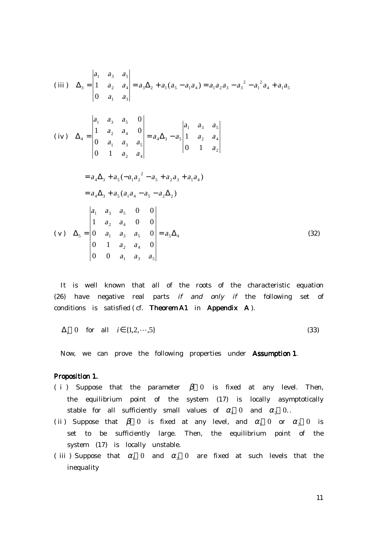$$
(iii) \Delta_3 = \begin{vmatrix} a_1 & a_3 & a_5 \ 1 & a_2 & a_4 \ 0 & a_1 & a_3 \end{vmatrix} = a_3 \Delta_2 + a_1 (a_5 - a_1 a_4) = a_1 a_2 a_3 - a_3^2 - a_1^2 a_4 + a_1 a_5
$$
  
\n
$$
(iv) \Delta_4 = \begin{vmatrix} a_1 & a_3 & a_5 & 0 \ 1 & a_2 & a_4 & 0 \ 0 & a_1 & a_3 & a_5 \ 0 & 1 & a_2 & a_4 \end{vmatrix} = a_4 \Delta_3 - a_5 \begin{vmatrix} a_1 & a_3 & a_5 \ 1 & a_2 & a_4 \ 0 & 1 & a_2 \end{vmatrix}
$$
  
\n
$$
= a_4 \Delta_3 + a_5 (-a_1 a_2^2 - a_5 + a_2 a_3 + a_1 a_4)
$$
  
\n
$$
= a_4 \Delta_3 + a_5 (a_1 a_4 - a_5 - a_2 \Delta_2)
$$
  
\n
$$
\begin{vmatrix} a_1 & a_3 & a_5 & 0 & 0 \ 1 & a_2 & a_4 & 0 & 0 \ 0 & 1 & a_2 & a_4 & 0 \ 0 & 0 & a_1 & a_3 & a_5 \end{vmatrix} = a_5 \Delta_4
$$
 (32)

 It is well known that all of the roots of the characteristic equation  $(26)$  have negative real parts if and only if the following set of conditions is satisfied ( cf. **Theorem A1** in **Appendix A** ).

$$
\Delta_i \quad 0 \quad \text{for} \quad \text{all} \quad i \in \{1, 2, \cdots, 5\} \tag{33}
$$

Now, we can prove the following properties under **Assumption 1**.

## Proposition 1.

- ( i ) Suppose that the parameter  $\beta$  0 is fixed at any level. Then, the equilibrium point of the system (17) is locally asymptotically stable for all sufficiently small values of  $\alpha_1$  0 and  $\alpha_2$  0..
- (ii) Suppose that  $\beta$  0 is fixed at any level, and  $\alpha_1$  0 or  $\alpha_2$  0 is set to be sufficiently large. Then, the equilibrium point of the system (17) is locally unstable.
- ( iii ) Suppose that  $\alpha_1$  0 and  $\alpha_2$  0 are fixed at such levels that the inequality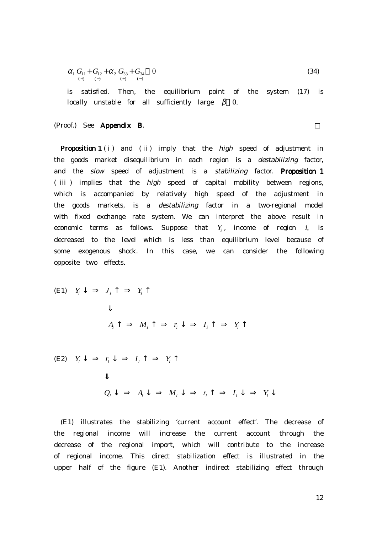$$
\alpha_1 G_{11} + G_{12} + \alpha_2 G_{33} + G_{34} \quad 0 \tag{34}
$$

 is satisfied. Then, the equilibrium point of the system (17) is locally unstable for all sufficiently large  $\beta$  0.

## (Proof.) See Appendix B.

**Proposition 1** ( $i$ ) and ( $ii$ ) imply that the *high* speed of adjustment in the goods market disequilibrium in each region is a destabilizing factor, and the slow speed of adjustment is a stabilizing factor. Proposition 1 ( iii ) implies that the high speed of capital mobility between regions, which is accompanied by relatively high speed of the adjustment in the goods markets, is a destabilizing factor in a two-regional model with fixed exchange rate system. We can interpret the above result in economic terms as follows. Suppose that  $Y_i$ , income of region  $i$ , is decreased to the level which is less than equilibrium level because of some exogenous shock. In this case, we can consider the following opposite two effects.

(E1) 
$$
Y_i \downarrow \Rightarrow J_i \uparrow \Rightarrow Y_i \uparrow
$$
  
\n $\Downarrow$   
\n $A_i \uparrow \Rightarrow M_i \uparrow \Rightarrow r_i \downarrow \Rightarrow I_i \uparrow \Rightarrow Y_i \uparrow$   
\n(E2)  $Y_i \downarrow \Rightarrow r_i \downarrow \Rightarrow I_i \uparrow \Rightarrow Y_i \uparrow$ 

$$
Q_i \downarrow \Rightarrow A_i \downarrow \Rightarrow M_i \downarrow \Rightarrow r_i \uparrow \Rightarrow I_i \downarrow \Rightarrow Y_i \downarrow
$$

 (E1) illustrates the stabilizing 'current account effect'. The decrease of the regional income will increase the current account through the decrease of the regional import, which will contribute to the increase of regional income. This direct stabilization effect is illustrated in the upper half of the figure (E1). Another indirect stabilizing effect through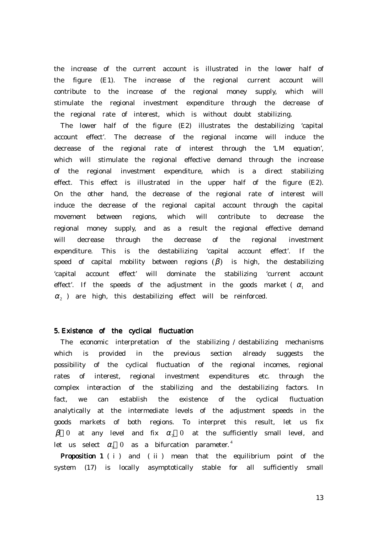the increase of the current account is illustrated in the lower half of the figure (E1). The increase of the regional current account will contribute to the increase of the regional money supply, which will stimulate the regional investment expenditure through the decrease of the regional rate of interest, which is without doubt stabilizing.

 The lower half of the figure (E2) illustrates the destabilizing 'capital account effect'. The decrease of the regional income will induce the decrease of the regional rate of interest through the 'LM equation', which will stimulate the regional effective demand through the increase of the regional investment expenditure, which is a direct stabilizing effect. This effect is illustrated in the upper half of the figure (E2). On the other hand, the decrease of the regional rate of interest will induce the decrease of the regional capital account through the capital movement between regions, which will contribute to decrease the regional money supply, and as a result the regional effective demand will decrease through the decrease of the regional investment expenditure. This is the destabilizing 'capital account effect'. If the speed of capital mobility between regions  $(\beta)$  is high, the destabilizing 'capital account effect' will dominate the stabilizing 'current account effect'. If the speeds of the adjustment in the goods market ( $\alpha_1$  and  $\alpha$ <sub>2</sub> ) are high, this destabilizing effect will be reinforced.

## 5. Existence of the cyclical fluctuation

 The economic interpretation of the stabilizing / destabilizing mechanisms which is provided in the previous section already suggests the possibility of the cyclical fluctuation of the regional incomes, regional rates of interest, regional investment expenditures etc. through the complex interaction of the stabilizing and the destabilizing factors. In fact, we can establish the existence of the cyclical fluctuation analytically at the intermediate levels of the adjustment speeds in the goods markets of both regions. To interpret this result, let us fix  $β$  0 at any level and fix  $α$ , 0 at the sufficiently small level, and let us select  $\alpha_1$  0 as a bifurcation parameter.<sup>4</sup>

**Proposition 1** ( $i$ ) and ( $ii$ ) mean that the equilibrium point of the system (17) is locally asymptotically stable for all sufficiently small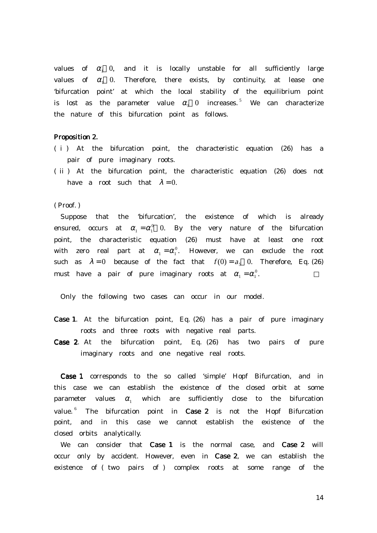values of  $\alpha_1$  0, and it is locally unstable for all sufficiently large values of  $\alpha_1$  0. Therefore, there exists, by continuity, at lease one 'bifurcation point' at which the local stability of the equilibrium point is lost as the parameter value  $\alpha_1$  0 increases.<sup>5</sup> We can characterize the nature of this bifurcation point as follows.

## Proposition 2.

- ( i ) At the bifurcation point, the characteristic equation (26) has a pair of pure imaginary roots.
- ( ii ) At the bifurcation point, the characteristic equation (26) does not have a root such that  $\lambda = 0$ .

( Proof. )

 Suppose that the 'bifurcation', the existence of which is already ensured, occurs at  $\alpha_1 = \alpha_1^0$  0. By the very nature of the bifurcation point, the characteristic equation (26) must have at least one root with zero real part at  $\alpha_1 = \alpha_1^0$ . However, we can exclude the root such as  $\lambda = 0$  because of the fact that  $f(0) = a_5$  0. Therefore, Eq. (26) must have a pair of pure imaginary roots at  $\alpha_1 = \alpha_1^0$ .

Only the following two cases can occur in our model.

- Case 1. At the bifurcation point, Eq. (26) has a pair of pure imaginary roots and three roots with negative real parts.
- Case 2. At the bifurcation point, Eq. (26) has two pairs of pure imaginary roots and one negative real roots.

 Case 1 corresponds to the so called 'simple' Hopf Bifurcation, and in this case we can establish the existence of the closed orbit at some parameter values  $\alpha_1$  which are sufficiently close to the bifurcation value.  $6$  The bifurcation point in Case 2 is not the Hopf Bifurcation point, and in this case we cannot establish the existence of the closed orbits analytically.

We can consider that Case 1 is the normal case, and Case 2 will occur only by accident. However, even in Case 2, we can establish the existence of ( two pairs of ) complex roots at some range of the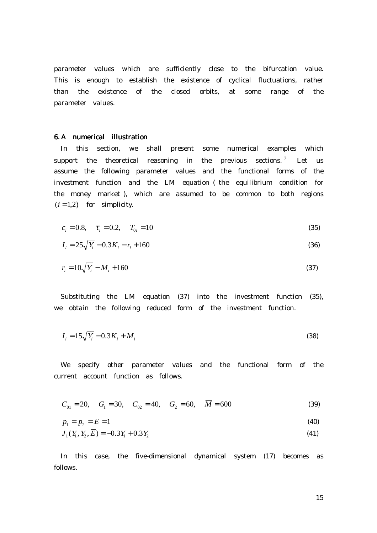parameter values which are sufficiently close to the bifurcation value. This is enough to establish the existence of cyclical fluctuations, rather than the existence of the closed orbits, at some range of the parameter values.

#### 6. A numerical illustration

 In this section, we shall present some numerical examples which support the theoretical reasoning in the previous sections.<sup>7</sup> Let us assume the following parameter values and the functional forms of the investment function and the LM equation ( the equilibrium condition for the money market ), which are assumed to be common to both regions  $(i = 1,2)$  for simplicity.

$$
c_i = 0.8, \quad \tau_i = 0.2, \quad T_{0i} = 10 \tag{35}
$$

$$
I_i = 25\sqrt{Y_i} - 0.3K_i - r_i + 160\tag{36}
$$

$$
r_i = 10\sqrt{Y_i} - M_i + 160\tag{37}
$$

 Substituting the LM equation (37) into the investment function (35), we obtain the following reduced form of the investment function.

$$
I_i = 15\sqrt{Y_i} - 0.3K_i + M_i
$$
\n(38)

 We specify other parameter values and the functional form of the current account function as follows.

$$
C_{01} = 20
$$
,  $G_1 = 30$ ,  $C_{02} = 40$ ,  $G_2 = 60$ ,  $\overline{M} = 600$  (39)

$$
p_1 = p_2 = \overline{E} = 1 \tag{40}
$$

$$
J_1(Y_1, Y_2, \overline{E}) = -0.3Y_1 + 0.3Y_2
$$
\n(41)

 In this case, the five-dimensional dynamical system (17) becomes as follows.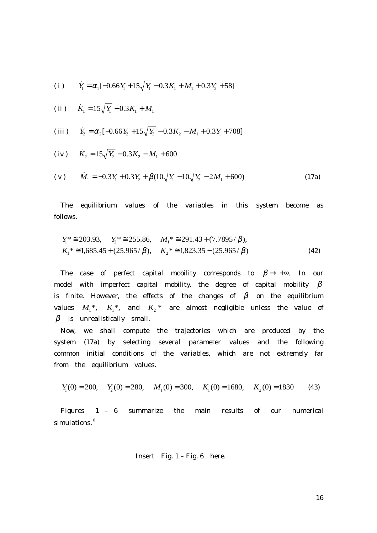(i) 
$$
\dot{Y}_1 = \alpha_1 [-0.66Y_1 + 15\sqrt{Y_1} - 0.3K_1 + M_1 + 0.3Y_2 + 58]
$$

(ii) 
$$
\dot{K}_1 = 15\sqrt{Y_1} - 0.3K_1 + M_1
$$

(iii) 
$$
\dot{Y}_2 = \alpha_2 [-0.66Y_2 + 15\sqrt{Y_2} - 0.3K_2 - M_1 + 0.3Y_1 + 708]
$$

(iv) 
$$
\dot{K}_2 = 15\sqrt{Y_2} - 0.3K_2 - M_1 + 600
$$

(v) 
$$
\dot{M}_1 = -0.3Y_1 + 0.3Y_2 + \beta(10\sqrt{Y_1} - 10\sqrt{Y_2} - 2M_1 + 600)
$$
 (17a)

 The equilibrium values of the variables in this system become as follows.

$$
Y_1^* \cong 203.93, \quad Y_2^* \cong 255.86, \quad M_1^* \cong 291.43 + (7.7895/\beta),
$$
  
\n
$$
K_1^* \cong 1,685.45 + (25.965/\beta), \quad K_2^* \cong 1,823.35 - (25.965/\beta)
$$
 (42)

The case of perfect capital mobility corresponds to  $\beta \rightarrow +\infty$ . In our model with imperfect capital mobility, the degree of capital mobility  $\beta$ is finite. However, the effects of the changes of  $\beta$  on the equilibrium values  $M_1^*$ ,  $K_1^*$ , and  $K_2^*$  are almost negligible unless the value of  $\beta$  is unrealistically small.

 Now, we shall compute the trajectories which are produced by the system (17a) by selecting several parameter values and the following common initial conditions of the variables, which are not extremely far from the equilibrium values.

$$
Y_1(0) = 200
$$
,  $Y_2(0) = 280$ ,  $M_1(0) = 300$ ,  $K_1(0) = 1680$ ,  $K_2(0) = 1830$  (43)

 Figures 1 – 6 summarize the main results of our numerical simulations.<sup>8</sup>

$$
Insert Fig. 1 - Fig. 6 here.
$$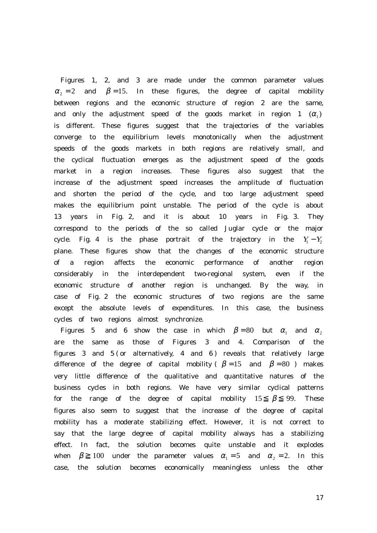Figures 1, 2, and 3 are made under the common parameter values  $\alpha$ <sub>2</sub> and  $\beta$  = 15. In these figures, the degree of capital mobility between regions and the economic structure of region 2 are the same, and only the adjustment speed of the goods market in region 1  $(\alpha_1)$ is different. These figures suggest that the trajectories of the variables converge to the equilibrium levels monotonically when the adjustment speeds of the goods markets in both regions are relatively small, and the cyclical fluctuation emerges as the adjustment speed of the goods market in a region increases. These figures also suggest that the increase of the adjustment speed increases the amplitude of fluctuation and shorten the period of the cycle, and too large adjustment speed makes the equilibrium point unstable. The period of the cycle is about 13 years in Fig. 2, and it is about 10 years in Fig. 3. They correspond to the periods of the so called Juglar cycle or the major cycle. Fig. 4 is the phase portrait of the trajectory in the  $Y_1 - Y_2$ plane. These figures show that the changes of the economic structure of a region affects the economic performance of another region considerably in the interdependent two-regional system, even if the economic structure of another region is unchanged. By the way, in case of Fig. 2 the economic structures of two regions are the same except the absolute levels of expenditures. In this case, the business cycles of two regions almost synchronize.

Figures 5 and 6 show the case in which  $\beta = 80$  but  $\alpha_1$  and  $\alpha_2$ are the same as those of Figures 3 and 4. Comparison of the figures 3 and 5 ( or alternatively, 4 and 6 ) reveals that relatively large difference of the degree of capital mobility (  $\beta = 15$  and  $\beta = 80$  ) makes very little difference of the qualitative and quantitative natures of the business cycles in both regions. We have very similar cyclical patterns for the range of the degree of capital mobility 15  $\beta$  99. These figures also seem to suggest that the increase of the degree of capital mobility has a moderate stabilizing effect. However, it is not correct to say that the large degree of capital mobility always has a stabilizing effect. In fact, the solution becomes quite unstable and it explodes when  $\beta$  100 under the parameter values  $\alpha_1 = 5$  and  $\alpha_2 = 2$ . In this case, the solution becomes economically meaningless unless the other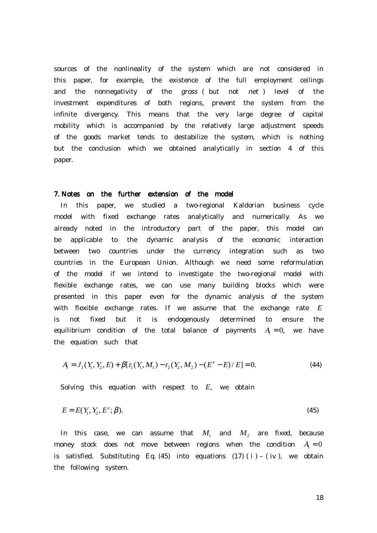sources of the nonlineality of the system which are not considered in this paper, for example, the existence of the full employment ceilings and the nonnegativity of the gross ( but not net ) level of the investment expenditures of both regions, prevent the system from the infinite divergency. This means that the very large degree of capital mobility which is accompanied by the relatively large adjustment speeds of the goods market tends to destabilize the system, which is nothing but the conclusion which we obtained analytically in section 4 of this paper.

#### 7. Notes on the further extension of the model

 In this paper, we studied a two-regional Kaldorian business cycle model with fixed exchange rates analytically and numerically. As we already noted in the introductory part of the paper, this model can be applicable to the dynamic analysis of the economic interaction between two countries under the currency integration such as two countries in the European Union. Although we need some reformulation of the model if we intend to investigate the two-regional model with flexible exchange rates, we can use many building blocks which were presented in this paper even for the dynamic analysis of the system with flexible exchange rates. If we assume that the exchange rate E is not fixed but it is endogenously determined to ensure the equilibrium condition of the total balance of payments  $A = 0$ , we have the equation such that

$$
A_{1} = J_{1}(Y_{1}, Y_{2}, E) + \beta[r_{1}(Y_{1}, M_{1}) - r_{2}(Y_{2}, M_{2}) - (E^{e} - E)/E] = 0.
$$
\n(44)

Solving this equation with respect to  $E$ , we obtain

$$
E = E(Y_1, Y_2, E^c; \beta). \tag{45}
$$

In this case, we can assume that  $M_1$  and  $M_2$  are fixed, because money stock does not move between regions when the condition  $A = 0$ is satisfied. Substituting Eq.  $(45)$  into equations  $(17)$   $(i)$  –  $(iv)$ , we obtain the following system.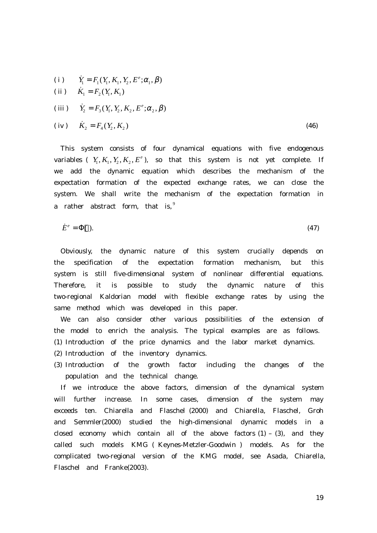(i) 
$$
\dot{Y}_1 = F_1(Y_1, K_1, Y_2, E^e; \alpha_1, \beta)
$$
  
\n(ii)  $\dot{K}_1 = F_2(Y_1, K_1)$   
\n(iii)  $\dot{Y}_2 = F_3(Y_1, Y_2, K_2, E^e; \alpha_2, \beta)$   
\n(iv)  $\dot{K}_2 = F_4(Y_2, K_2)$  (46)

 This system consists of four dynamical equations with five endogenous variables (  $Y_1, K_1, Y_2, K_2, E^e$ ), so that this system is not yet complete. If we add the dynamic equation which describes the mechanism of the expectation formation of the expected exchange rates, we can close the system. We shall write the mechanism of the expectation formation in a rather abstract form, that is,  $9$ 

$$
\dot{E}^e = \Phi(.) \tag{47}
$$

 Obviously, the dynamic nature of this system crucially depends on the specification of the expectation formation mechanism, but this system is still five-dimensional system of nonlinear differential equations. Therefore, it is possible to study the dynamic nature of this two-regional Kaldorian model with flexible exchange rates by using the same method which was developed in this paper.

 We can also consider other various possibilities of the extension of the model to enrich the analysis. The typical examples are as follows.

- (1) Introduction of the price dynamics and the labor market dynamics.
- (2) Introduction of the inventory dynamics.
- (3) Introduction of the growth factor including the changes of the population and the technical change.

If we introduce the above factors, dimension of the dynamical system will further increase. In some cases, dimension of the system may exceeds ten. Chiarella and Flaschel (2000) and Chiarella, Flaschel, Groh and Semmler(2000) studied the high-dimensional dynamic models in a closed economy which contain all of the above factors  $(1) - (3)$ , and they called such models KMG ( Keynes-Metzler-Goodwin ) models. As for the complicated two-regional version of the KMG model, see Asada, Chiarella, Flaschel and Franke(2003).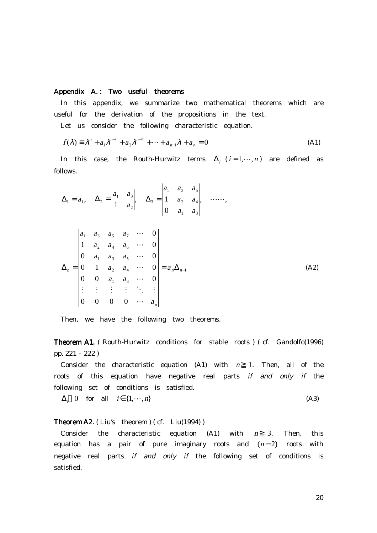# Appendix A.: Two useful theorems

 In this appendix, we summarize two mathematical theorems which are useful for the derivation of the propositions in the text.

Let us consider the following characteristic equation.

$$
f(\lambda) = \lambda^{n} + a_{1}\lambda^{n-1} + a_{2}\lambda^{n-2} + \dots + a_{n-1}\lambda + a_{n} = 0
$$
 (A1)

In this case, the Routh-Hurwitz terms  $\Delta_i$  ( $i = 1, \dots, n$ ) are defined as follows.

$$
\Delta_1 = a_1, \quad \Delta_2 = \begin{vmatrix} a_1 & a_3 \\ 1 & a_2 \end{vmatrix}, \quad \Delta_3 = \begin{vmatrix} a_1 & a_3 & a_5 \\ 1 & a_2 & a_4 \\ 0 & a_1 & a_3 \end{vmatrix}, \quad \cdots \cdots,
$$
  

$$
\Delta_n = \begin{vmatrix} a_1 & a_3 & a_5 & a_7 & \cdots & 0 \\ 0 & a_1 & a_3 & a_5 & \cdots & 0 \\ 0 & 1 & a_2 & a_4 & \cdots & 0 \\ 0 & 0 & a_1 & a_3 & \cdots & 0 \\ \vdots & \vdots & \vdots & \vdots & \ddots & \vdots \\ 0 & 0 & 0 & 0 & \cdots & a_n \end{vmatrix} = a_n \Delta_{n-1}
$$
(A2)

Then, we have the following two theorems.

Theorem A1. ( Routh-Hurwitz conditions for stable roots ) ( cf. Gandolfo(1996) pp. 221 – 222 )

Consider the characteristic equation  $(A1)$  with  $n$  1. Then, all of the roots of this equation have negative real parts if and only if the following set of conditions is satisfied.

$$
\Delta_i \quad 0 \quad \text{for} \quad \text{all} \quad i \in \{1, \cdots, n\} \tag{A3}
$$

# **Theorem A2.** ( Liu's theorem ) ( cf.  $Liu(1994)$  )

Consider the characteristic equation  $(A1)$  with  $n = 3$ . Then, this equation has a pair of pure imaginary roots and  $(n-2)$  roots with negative real parts if and only if the following set of conditions is satisfied.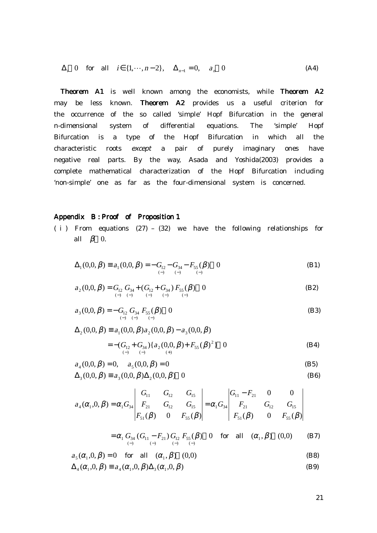$$
\Delta_i \quad 0 \quad \text{for} \quad \text{all} \quad i \in \{1, \cdots, n-2\}, \quad \Delta_{n-1} = 0, \quad a_n \quad 0 \tag{A4}
$$

Theorem A1 is well known among the economists, while Theorem A2 may be less known. Theorem A2 provides us a useful criterion for the occurrence of the so called 'simple' Hopf Bifurcation in the general n-dimensional system of differential equations. The 'simple' Hopf Bifurcation is a type of the Hopf Bifurcation in which all the characteristic roots except a pair of purely imaginary ones have negative real parts. By the way, Asada and Yoshida(2003) provides a complete mathematical characterization of the Hopf Bifurcation including 'non-simple' one as far as the four-dimensional system is concerned.

## Appendix B: Proof of Proposition 1

( i ) From equations (27) – (32) we have the following relationships for all  $\beta$  0.

$$
\Delta_1(0,0,\beta) \equiv a_1(0,0,\beta) = -G_{12} - G_{34} - F_{55}(\beta) \quad 0
$$
\n(B1)

$$
a_2(0,0,\beta) = G_{12} G_{34} + (G_{12} + G_{34}) F_{55}(\beta) \quad 0
$$
(B2)

$$
a_3(0,0,\beta) = -G_{12} G_{34} F_{55}(\beta) \quad 0
$$
 (B3)

$$
\Delta_2(0,0,\beta) \equiv a_1(0,0,\beta)a_2(0,0,\beta) - a_3(0,0,\beta)
$$
  
= -( $G_{12}$ + $G_{34}$ ){ $a_2(0,0,\beta)$ + $F_{55}(\beta)$ <sup>2</sup>} 0 (B4)

$$
a_4(0,0,\beta) = 0, \quad a_5(0,0,\beta) = 0
$$
 (B5)  

$$
\Delta_3(0,0,\beta) \equiv a_3(0,0,\beta)\Delta_2(0,0,\beta)
$$
 (B6)

$$
a_4(\alpha_1, 0, \beta) = \alpha_1 G_{34} \begin{vmatrix} G_{11} & G_{12} & G_{15} \\ F_{21} & G_{12} & G_{15} \\ F_{51}(\beta) & 0 & F_{55}(\beta) \end{vmatrix} = \alpha_1 G_{34} \begin{vmatrix} G_{11} - F_{21} & 0 & 0 \\ F_{21} & G_{12} & G_{15} \\ F_{51}(\beta) & 0 & F_{55}(\beta) \end{vmatrix}
$$

$$
= \alpha_1 \underset{(-)}{G_{34}} (G_{11} - F_{21}) \underset{(-)}{G_{12}} F_{55}(\beta) \quad 0 \quad \text{for all} \quad (\alpha_1, \beta) \quad (0,0) \tag{B7}
$$

$$
a_5(\alpha_1, 0, \beta) = 0 \quad \text{for all} \quad (\alpha_1, \beta) \quad (0,0) \tag{B8}
$$

$$
\Delta_4(\alpha_1, 0, \beta) \equiv a_4(\alpha_1, 0, \beta) \Delta_3(\alpha_1, 0, \beta)
$$
\n(B9)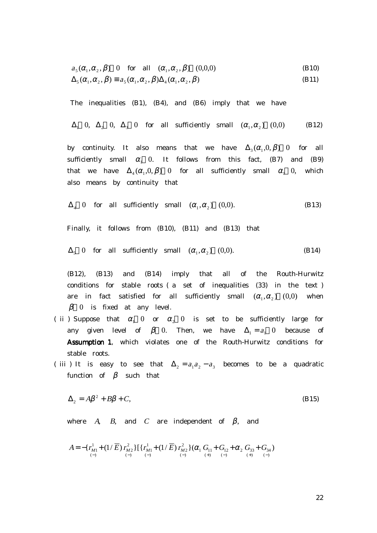$$
a_5(\alpha_1, \alpha_2, \beta) \quad 0 \quad \text{for all} \quad (\alpha_1, \alpha_2, \beta) \quad (0,0,0) \tag{B10}
$$

$$
\Delta_{5}(\alpha_{1}, \alpha_{2}, \beta) \equiv a_{5}(\alpha_{1}, \alpha_{2}, \beta) \Delta_{4}(\alpha_{1}, \alpha_{2}, \beta)
$$
\n(B11)

The inequalities (B1), (B4), and (B6) imply that we have

$$
\Delta_1
$$
 0,  $\Delta_2$  0,  $\Delta_3$  0 for all sufficiently small  $(\alpha_1, \alpha_2)$  (0,0) (B12)

by continuity. It also means that we have  $\Delta_3(\alpha_1, 0, \beta)$  0 for all sufficiently small  $\alpha_1$  0. It follows from this fact, (B7) and (B9) that we have  $\Delta_4(\alpha_1, 0, \beta)$  0 for all sufficiently small  $\alpha_1$  0, which also means by continuity that

$$
\Delta_4 \quad 0 \quad \text{for all sufficiently small} \quad (\alpha_1, \alpha_2) \quad (0,0). \tag{B13}
$$

Finally, it follows from (B10), (B11) and (B13) that

$$
\Delta_5 \quad 0 \quad \text{for} \quad \text{all} \quad \text{sufficiently} \quad \text{small} \quad (\alpha_1, \alpha_2) \quad (0,0). \tag{B14}
$$

 (B12), (B13) and (B14) imply that all of the Routh-Hurwitz conditions for stable roots ( a set of inequalities (33) in the text ) are in fact satisfied for all sufficiently small  $(\alpha_1, \alpha_2)$  (0,0) when  $\beta$  0 is fixed at any level.

- ( ii ) Suppose that  $\alpha_1$  0 or  $\alpha_2$  0 is set to be sufficiently large for any given level of  $\beta$  0. Then, we have  $\Delta_1 = a_1$  0 because of Assumption 1, which violates one of the Routh-Hurwitz conditions for stable roots.
- ( iii ) It is easy to see that  $\Delta_2 = a_1 a_2 a_3$  becomes to be a quadratic function of  $\beta$  such that

$$
\Delta_2 = A\beta^2 + B\beta + C,\tag{B15}
$$

where A, B, and C are independent of  $\beta$ , and

$$
A = -\left\{ \frac{r_{M1}^1 + (1/\overline{E}) r_{M2}^2}{\binom{5}{-1}} \right\} \left\{ \frac{r_{M1}^1 + (1/\overline{E}) r_{M2}^2}{\binom{5}{-1}} \right\} \left( \alpha_1 \frac{G_{11}^1 + G_{12}^1 + \alpha_2 G_{33}^1 + G_{34}^1}{\binom{5}{-1}} \right)
$$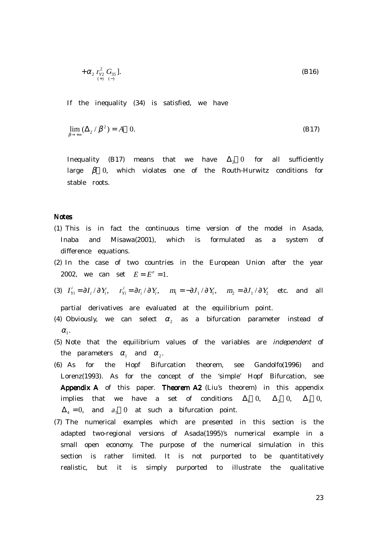$$
+\alpha_2 \, r_{Y2}^2 \, G_{35} \, J. \tag{B16}
$$

If the inequality (34) is satisfied, we have

$$
\lim_{\beta \to +\infty} (\Delta_2 / \beta^2) = A \quad 0. \tag{B17}
$$

Inequality (B17) means that we have  $\Delta$ <sub>2</sub> 0 for all sufficiently large  $\beta$  0, which violates one of the Routh-Hurwitz conditions for stable roots.

#### **Notes**

- (1) This is in fact the continuous time version of the model in Asada, Inaba and Misawa(2001), which is formulated as a system of difference equations.
- (2) In the case of two countries in the European Union after the year 2002, we can set  $E = E^e = 1$ .
- (3)  $I_{Y_i}^i = \partial I_i / \partial Y_i$ ,  $r_{Y_i}^i = \partial r_i / \partial Y_i$ ,  $m_1 = -\partial J_1 / \partial Y_1$ ,  $m_2 = \partial J_1 / \partial Y_2$  etc. and all

partial derivatives are evaluated at the equilibrium point.

- (4) Obviously, we can select  $\alpha_2$  as a bifurcation parameter instead of  $\alpha_{1}$ .
- (5) Note that the equilibrium values of the variables are independent of the parameters  $\alpha_1$  and  $\alpha_2$ .
- (6) As for the Hopf Bifurcation theorem, see Gandolfo(1996) and Lorenz(1993). As for the concept of the 'simple' Hopf Bifurcation, see Appendix A of this paper. Theorem A2 (Liu's theorem) in this appendix implies that we have a set of conditions  $\Delta_1$  0,  $\Delta_2$  0,  $\Delta_3$  0,  $\Delta_4 = 0$ , and  $a_5 = 0$  at such a bifurcation point.
- (7) The numerical examples which are presented in this section is the adapted two-regional versions of Asada(1995)'s numerical example in a small open economy. The purpose of the numerical simulation in this section is rather limited. It is not purported to be quantitatively realistic, but it is simply purported to illustrate the qualitative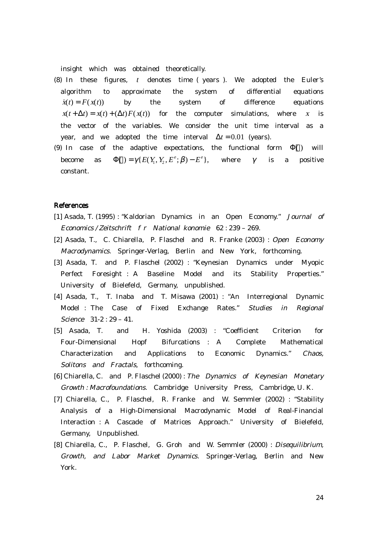insight which was obtained theoretically.

- (8) In these figures, t denotes time ( years ). We adopted the Euler's algorithm to approximate the system of differential equations  $\dot{x}(t) = F(x(t))$  by the system of difference equations  $x(t + \Delta t) = x(t) + (\Delta t)F(x(t))$  for the computer simulations, where x is the vector of the variables. We consider the unit time interval as a year, and we adopted the time interval  $\Delta t = 0.01$  (years).
- (9) In case of the adaptive expectations, the functional form  $\Phi$ () will become as  $\Phi() = \gamma \{ E(Y_1, Y_2, E^e; \beta) - E^e \}$ , where  $\gamma$  is a positive constant.

## **References**

- [1] Asada, T. (1995) : "Kaldorian Dynamics in an Open Economy." Journal of Economics / Zeitschrift f r National konomie 62 : 239 – 269.
- [2] Asada, T., C. Chiarella, P. Flaschel and R. Franke (2003) : Open Economy Macrodynamics. Springer-Verlag, Berlin and New York, forthcoming.
- [3] Asada, T. and P. Flaschel (2002) : "Keynesian Dynamics under Myopic Perfect Foresight : A Baseline Model and its Stability Properties." University of Bielefeld, Germany, unpublished.
- [4] Asada, T., T. Inaba and T. Misawa (2001) : "An Interregional Dynamic Model : The Case of Fixed Exchange Rates." Studies in Regional Science 31-2 : 29 – 41.
- [5] Asada, T. and H. Yoshida (2003) : "Coefficient Criterion for Four-Dimensional Hopf Bifurcations : A Complete Mathematical Characterization and Applications to Economic Dynamics." Chaos, Solitons and Fractals, forthcoming.
- [6] Chiarella, C. and P. Flaschel (2000) : The Dynamics of Keynesian Monetary Growth : Macrofoundations. Cambridge University Press, Cambridge, U. K.
- [7] Chiarella, C., P. Flaschel, R. Franke and W. Semmler (2002) : "Stability Analysis of a High-Dimensional Macrodynamic Model of Real-Financial Interaction : A Cascade of Matrices Approach." University of Bielefeld, Germany, Unpublished.
- [8] Chiarella, C., P. Flaschel, G. Groh and W. Semmler (2000) : Disequilibrium, Growth, and Labor Market Dynamics. Springer-Verlag, Berlin and New York.